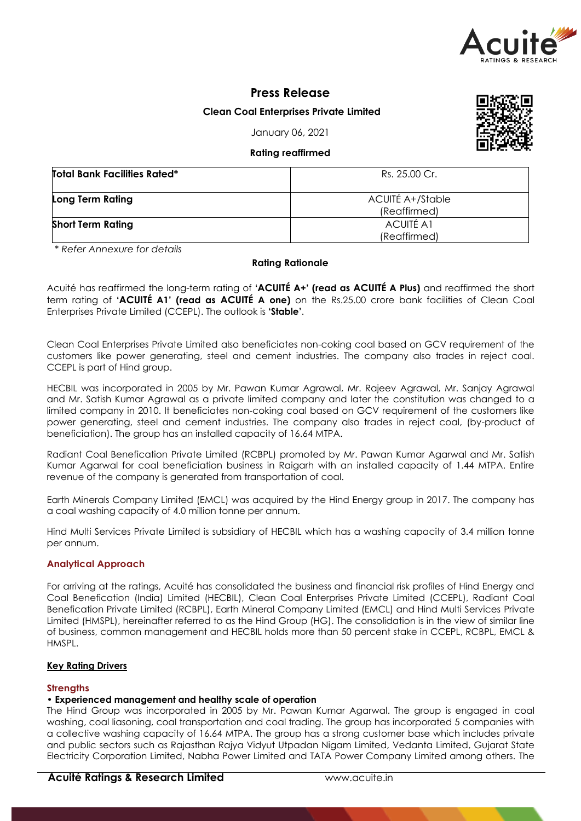

# **Press Release**

## **Clean Coal Enterprises Private Limited**

January 06, 2021

### **Rating reaffirmed**

| <b>Total Bank Facilities Rated*</b> | Rs. 25.00 Cr.                    |
|-------------------------------------|----------------------------------|
| Long Term Rating                    | ACUITÉ A+/Stable<br>(Reaffirmed) |
| <b>Short Term Rating</b>            | <b>ACUITÉ A1</b><br>(Reaffirmed) |

*\* Refer Annexure for details*

### **Rating Rationale**

Acuité has reaffirmed the long-term rating of **'ACUITÉ A+' (read as ACUITÉ A Plus)** and reaffirmed the short term rating of **'ACUITÉ A1' (read as ACUITÉ A one)** on the Rs.25.00 crore bank facilities of Clean Coal Enterprises Private Limited (CCEPL). The outlook is **'Stable'**.

Clean Coal Enterprises Private Limited also beneficiates non-coking coal based on GCV requirement of the customers like power generating, steel and cement industries. The company also trades in reject coal. CCEPL is part of Hind group.

HECBIL was incorporated in 2005 by Mr. Pawan Kumar Agrawal, Mr. Rajeev Agrawal, Mr. Sanjay Agrawal and Mr. Satish Kumar Agrawal as a private limited company and later the constitution was changed to a limited company in 2010. It beneficiates non-coking coal based on GCV requirement of the customers like power generating, steel and cement industries. The company also trades in reject coal, (by-product of beneficiation). The group has an installed capacity of 16.64 MTPA.

Radiant Coal Benefication Private Limited (RCBPL) promoted by Mr. Pawan Kumar Agarwal and Mr. Satish Kumar Agarwal for coal beneficiation business in Raigarh with an installed capacity of 1.44 MTPA. Entire revenue of the company is generated from transportation of coal.

Earth Minerals Company Limited (EMCL) was acquired by the Hind Energy group in 2017. The company has a coal washing capacity of 4.0 million tonne per annum.

Hind Multi Services Private Limited is subsidiary of HECBIL which has a washing capacity of 3.4 million tonne per annum.

#### **Analytical Approach**

For arriving at the ratings, Acuité has consolidated the business and financial risk profiles of Hind Energy and Coal Benefication (India) Limited (HECBIL), Clean Coal Enterprises Private Limited (CCEPL), Radiant Coal Benefication Private Limited (RCBPL), Earth Mineral Company Limited (EMCL) and Hind Multi Services Private Limited (HMSPL), hereinafter referred to as the Hind Group (HG). The consolidation is in the view of similar line of business, common management and HECBIL holds more than 50 percent stake in CCEPL, RCBPL, EMCL & HMSPL.

## **Key Rating Drivers**

#### **Strengths**

### **• Experienced management and healthy scale of operation**

The Hind Group was incorporated in 2005 by Mr. Pawan Kumar Agarwal. The group is engaged in coal washing, coal liasoning, coal transportation and coal trading. The group has incorporated 5 companies with a collective washing capacity of 16.64 MTPA. The group has a strong customer base which includes private and public sectors such as Rajasthan Rajya Vidyut Utpadan Nigam Limited, Vedanta Limited, Gujarat State Electricity Corporation Limited, Nabha Power Limited and TATA Power Company Limited among others. The

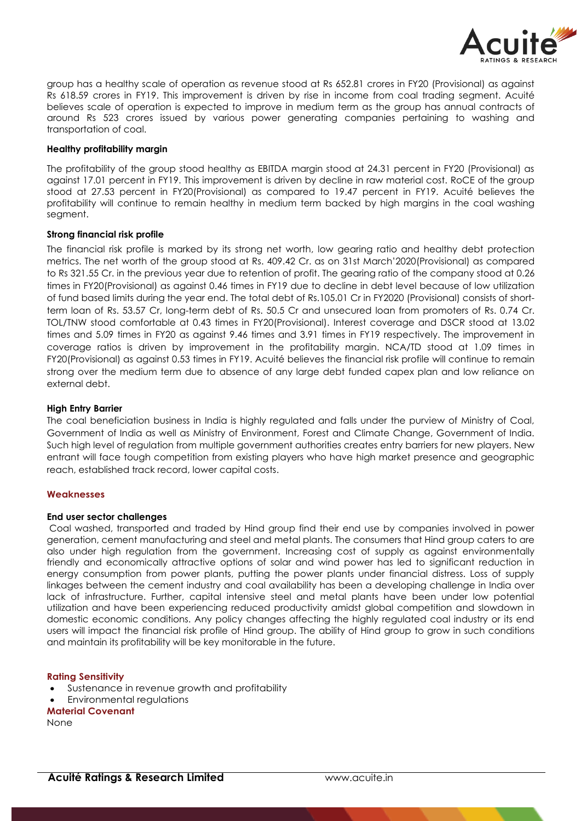

group has a healthy scale of operation as revenue stood at Rs 652.81 crores in FY20 (Provisional) as against Rs 618.59 crores in FY19. This improvement is driven by rise in income from coal trading segment. Acuité believes scale of operation is expected to improve in medium term as the group has annual contracts of around Rs 523 crores issued by various power generating companies pertaining to washing and transportation of coal.

### **Healthy profitability margin**

The profitability of the group stood healthy as EBITDA margin stood at 24.31 percent in FY20 (Provisional) as against 17.01 percent in FY19. This improvement is driven by decline in raw material cost. RoCE of the group stood at 27.53 percent in FY20(Provisional) as compared to 19.47 percent in FY19. Acuité believes the profitability will continue to remain healthy in medium term backed by high margins in the coal washing segment.

#### **Strong financial risk profile**

The financial risk profile is marked by its strong net worth, low gearing ratio and healthy debt protection metrics. The net worth of the group stood at Rs. 409.42 Cr. as on 31st March'2020(Provisional) as compared to Rs 321.55 Cr. in the previous year due to retention of profit. The gearing ratio of the company stood at 0.26 times in FY20(Provisional) as against 0.46 times in FY19 due to decline in debt level because of low utilization of fund based limits during the year end. The total debt of Rs.105.01 Cr in FY2020 (Provisional) consists of shortterm loan of Rs. 53.57 Cr, long-term debt of Rs. 50.5 Cr and unsecured loan from promoters of Rs. 0.74 Cr. TOL/TNW stood comfortable at 0.43 times in FY20(Provisional). Interest coverage and DSCR stood at 13.02 times and 5.09 times in FY20 as against 9.46 times and 3.91 times in FY19 respectively. The improvement in coverage ratios is driven by improvement in the profitability margin. NCA/TD stood at 1.09 times in FY20(Provisional) as against 0.53 times in FY19. Acuité believes the financial risk profile will continue to remain strong over the medium term due to absence of any large debt funded capex plan and low reliance on external debt.

### **High Entry Barrier**

The coal beneficiation business in India is highly regulated and falls under the purview of Ministry of Coal, Government of India as well as Ministry of Environment, Forest and Climate Change, Government of India. Such high level of regulation from multiple government authorities creates entry barriers for new players. New entrant will face tough competition from existing players who have high market presence and geographic reach, established track record, lower capital costs.

#### **Weaknesses**

#### **End user sector challenges**

Coal washed, transported and traded by Hind group find their end use by companies involved in power generation, cement manufacturing and steel and metal plants. The consumers that Hind group caters to are also under high regulation from the government. Increasing cost of supply as against environmentally friendly and economically attractive options of solar and wind power has led to significant reduction in energy consumption from power plants, putting the power plants under financial distress. Loss of supply linkages between the cement industry and coal availability has been a developing challenge in India over lack of infrastructure. Further, capital intensive steel and metal plants have been under low potential utilization and have been experiencing reduced productivity amidst global competition and slowdown in domestic economic conditions. Any policy changes affecting the highly regulated coal industry or its end users will impact the financial risk profile of Hind group. The ability of Hind group to grow in such conditions and maintain its profitability will be key monitorable in the future.

#### **Rating Sensitivity**

- Sustenance in revenue growth and profitability
- Environmental regulations

#### **Material Covenant**

None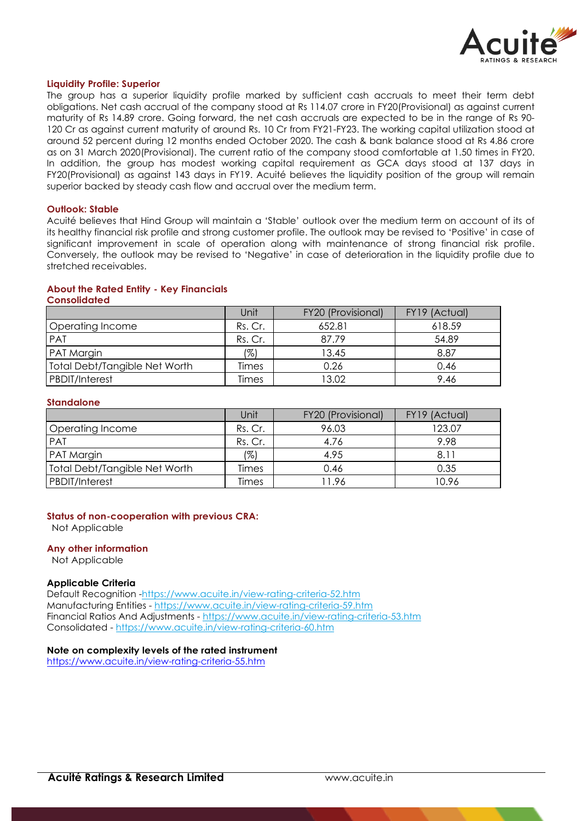

#### **Liquidity Profile: Superior**

The group has a superior liquidity profile marked by sufficient cash accruals to meet their term debt obligations. Net cash accrual of the company stood at Rs 114.07 crore in FY20(Provisional) as against current maturity of Rs 14.89 crore. Going forward, the net cash accruals are expected to be in the range of Rs 90- 120 Cr as against current maturity of around Rs. 10 Cr from FY21-FY23. The working capital utilization stood at around 52 percent during 12 months ended October 2020. The cash & bank balance stood at Rs 4.86 crore as on 31 March 2020(Provisional). The current ratio of the company stood comfortable at 1.50 times in FY20. In addition, the group has modest working capital requirement as GCA days stood at 137 days in FY20(Provisional) as against 143 days in FY19. Acuité believes the liquidity position of the group will remain superior backed by steady cash flow and accrual over the medium term.

#### **Outlook: Stable**

Acuité believes that Hind Group will maintain a 'Stable' outlook over the medium term on account of its of its healthy financial risk profile and strong customer profile. The outlook may be revised to 'Positive' in case of significant improvement in scale of operation along with maintenance of strong financial risk profile. Conversely, the outlook may be revised to 'Negative' in case of deterioration in the liquidity profile due to stretched receivables.

# **About the Rated Entity - Key Financials**

**Consolidated**

|                                      | Unit    | FY20 (Provisional) | FY19 (Actual) |
|--------------------------------------|---------|--------------------|---------------|
| Operating Income                     | Rs. Cr. | 652.81             | 618.59        |
| PAT                                  | Rs. Cr. | 87.79              | 54.89         |
| <b>PAT Margin</b>                    | (%)     | 13.45              | 8.87          |
| <b>Total Debt/Tangible Net Worth</b> | Times   | 0.26               | 0.46          |
| <b>PBDIT/Interest</b>                | Times   | 13.02              | 9.46          |

#### **Standalone**

|                               | Unit    | FY20 (Provisional) | FY19 (Actual) |
|-------------------------------|---------|--------------------|---------------|
| Operating Income              | Rs. Cr. | 96.03              | 123.07        |
| PAT                           | Rs. Cr. | 4.76               | 9.98          |
| PAT Margin                    | (%)     | 4.95               | 8.11          |
| Total Debt/Tangible Net Worth | Times   | 0.46               | 0.35          |
| <b>PBDIT/Interest</b>         | Times   | ' 1.96             | 10.96         |

#### **Status of non-cooperation with previous CRA:**

Not Applicable

#### **Any other information**

Not Applicable

#### **Applicable Criteria**

Default Recognition -https://www.acuite.in/view-rating-criteria-52.htm Manufacturing Entities - https://www.acuite.in/view-rating-criteria-59.htm Financial Ratios And Adjustments - https://www.acuite.in/view-rating-criteria-53.htm Consolidated - https://www.acuite.in/view-rating-criteria-60.htm

#### **Note on complexity levels of the rated instrument**

https://www.acuite.in/view-rating-criteria-55.htm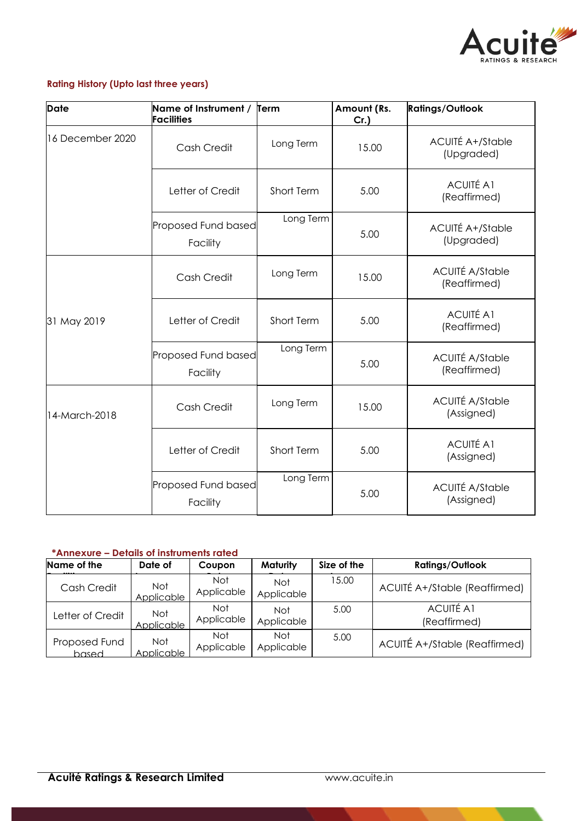

# **Rating History (Upto last three years)**

| <b>Date</b>      | Name of Instrument / Term<br><b>Facilities</b> |            | Amount (Rs.<br>$Cr.$ ) | <b>Ratings/Outlook</b>                 |
|------------------|------------------------------------------------|------------|------------------------|----------------------------------------|
| 16 December 2020 | Cash Credit                                    | Long Term  | 15.00                  | <b>ACUITÉ A+/Stable</b><br>(Upgraded)  |
|                  | Letter of Credit                               | Short Term | 5.00                   | <b>ACUITÉ A1</b><br>(Reaffirmed)       |
|                  | Proposed Fund based<br>Facility                | Long Term  | 5.00                   | <b>ACUITÉ A+/Stable</b><br>(Upgraded)  |
|                  | Cash Credit                                    | Long Term  | 15.00                  | <b>ACUITÉ A/Stable</b><br>(Reaffirmed) |
| 31 May 2019      | Letter of Credit                               | Short Term | 5.00                   | <b>ACUITÉ A1</b><br>(Reaffirmed)       |
|                  | Proposed Fund based<br>Facility                | Long Term  | 5.00                   | <b>ACUITÉ A/Stable</b><br>(Reaffirmed) |
| 14-March-2018    | Cash Credit                                    | Long Term  | 15.00                  | <b>ACUITÉ A/Stable</b><br>(Assigned)   |
|                  | Letter of Credit                               | Short Term | 5.00                   | <b>ACUITÉ A1</b><br>(Assigned)         |
|                  | Proposed Fund based<br>Facility                | Long Term  | 5.00                   | <b>ACUITÉ A/Stable</b><br>(Assigned)   |

# **\*Annexure – Details of instruments rated**

| Name of the            | Date of                  | Coupon            | <b>Maturity</b>          | Size of the | <b>Ratings/Outlook</b>           |
|------------------------|--------------------------|-------------------|--------------------------|-------------|----------------------------------|
| Cash Credit            | Not<br>Applicable        | Not<br>Applicable | <b>Not</b><br>Applicable | 15.00       | ACUITÉ A+/Stable (Reaffirmed)    |
| Letter of Credit       | Not<br>Applicable        | Not<br>Applicable | Not<br>Applicable        | 5.00        | <b>ACUITÉ A1</b><br>(Reaffirmed) |
| Proposed Fund<br>based | <b>Not</b><br>Applicable | Not<br>Applicable | <b>Not</b><br>Applicable | 5.00        | ACUITÉ A+/Stable (Reaffirmed)    |